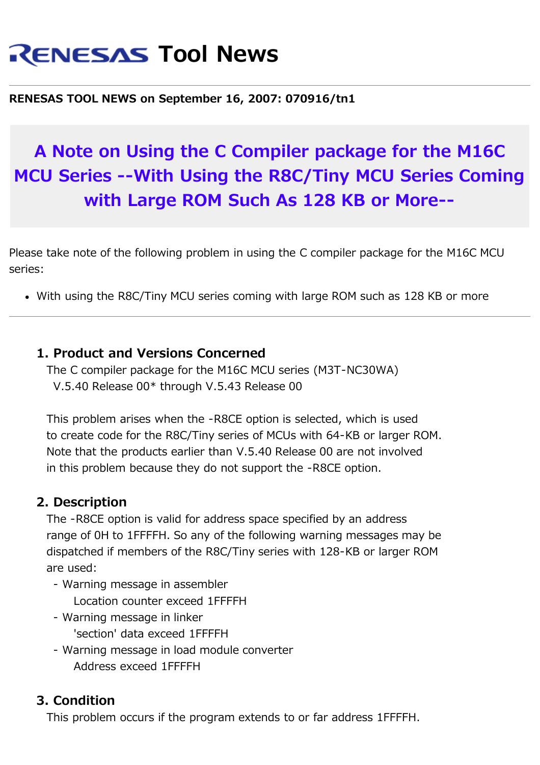# **RENESAS Tool News**

#### **RENESAS TOOL NEWS on September 16, 2007: 070916/tn1**

## **A Note on Using the C Compiler package for the M16C MCU Series --With Using the R8C/Tiny MCU Series Coming with Large ROM Such As 128 KB or More--**

Please take note of the following problem in using the C compiler package for the M16C MCU series:

With using the R8C/Tiny MCU series coming with large ROM such as 128 KB or more

#### **1. Product and Versions Concerned**

 The C compiler package for the M16C MCU series (M3T-NC30WA) V.5.40 Release 00\* through V.5.43 Release 00

 This problem arises when the -R8CE option is selected, which is used to create code for the R8C/Tiny series of MCUs with 64-KB or larger ROM. Note that the products earlier than V.5.40 Release 00 are not involved in this problem because they do not support the -R8CE option.

#### **2. Description**

 The -R8CE option is valid for address space specified by an address range of 0H to 1FFFFH. So any of the following warning messages may be dispatched if members of the R8C/Tiny series with 128-KB or larger ROM are used:

- Warning message in assembler Location counter exceed 1FFFFH
- Warning message in linker 'section' data exceed 1FFFFH
- Warning message in load module converter Address exceed 1FFFFH

### **3. Condition**

This problem occurs if the program extends to or far address 1FFFFH.